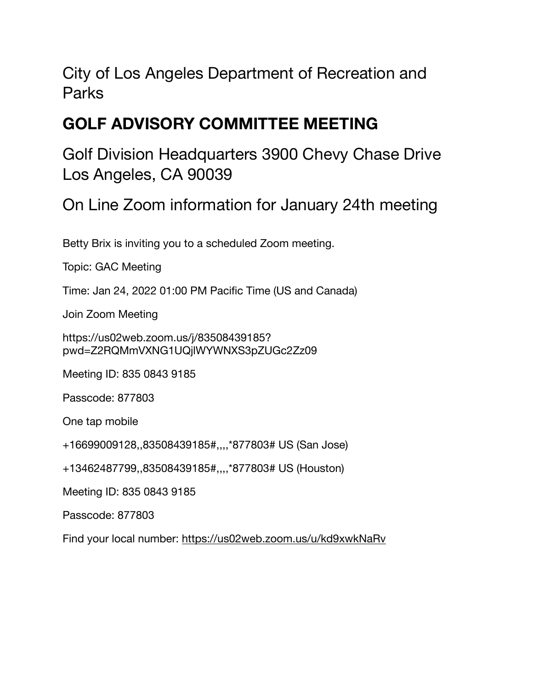City of Los Angeles Department of Recreation and Parks

#### **GOLF ADVISORY COMMITTEE MEETING**

Golf Division Headquarters 3900 Chevy Chase Drive Los Angeles, CA 90039

On Line Zoom information for January 24th meeting

Betty Brix is inviting you to a scheduled Zoom meeting.

Topic: GAC Meeting

Time: Jan 24, 2022 01:00 PM Pacific Time (US and Canada)

Join Zoom Meeting

https://us02web.zoom.us/j/83508439185? pwd=Z2RQMmVXNG1UQjlWYWNXS3pZUGc2Zz09

Meeting ID: 835 0843 9185

Passcode: 877803

One tap mobile

+16699009128,,83508439185#,,,,\*877803# US (San Jose)

+13462487799,,83508439185#,,,,\*877803# US (Houston)

Meeting ID: 835 0843 9185

Passcode: 877803

Find your local number:<https://us02web.zoom.us/u/kd9xwkNaRv>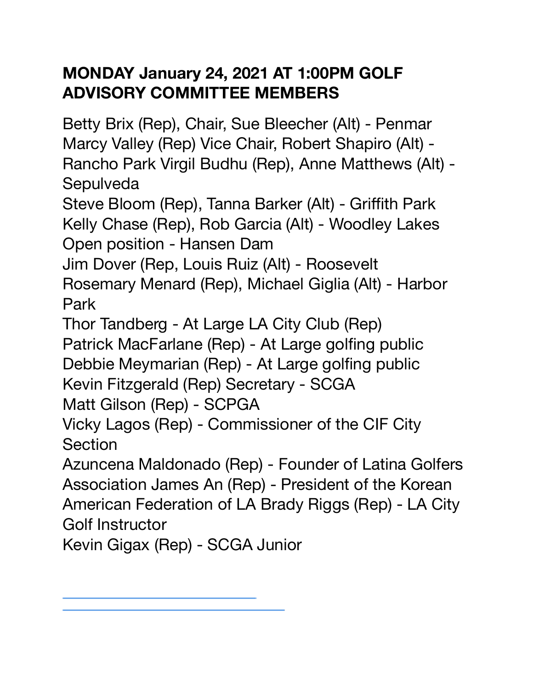#### **MONDAY January 24, 2021 AT 1:00PM GOLF ADVISORY COMMITTEE MEMBERS**

Betty Brix (Rep), Chair, Sue Bleecher (Alt) - Penmar Marcy Valley (Rep) Vice Chair, Robert Shapiro (Alt) - Rancho Park Virgil Budhu (Rep), Anne Matthews (Alt) - **Sepulveda** 

Steve Bloom (Rep), Tanna Barker (Alt) - Griffith Park Kelly Chase (Rep), Rob Garcia (Alt) - Woodley Lakes Open position - Hansen Dam

Jim Dover (Rep, Louis Ruiz (Alt) - Roosevelt

Rosemary Menard (Rep), Michael Giglia (Alt) - Harbor Park

Thor Tandberg - At Large LA City Club (Rep)

Patrick MacFarlane (Rep) - At Large golfing public Debbie Meymarian (Rep) - At Large golfing public

Kevin Fitzgerald (Rep) Secretary - SCGA

Matt Gilson (Rep) - SCPGA

Vicky Lagos (Rep) - Commissioner of the CIF City **Section** 

Azuncena Maldonado (Rep) - Founder of Latina Golfers Association James An (Rep) - President of the Korean American Federation of LA Brady Riggs (Rep) - LA City Golf Instructor

Kevin Gigax (Rep) - SCGA Junior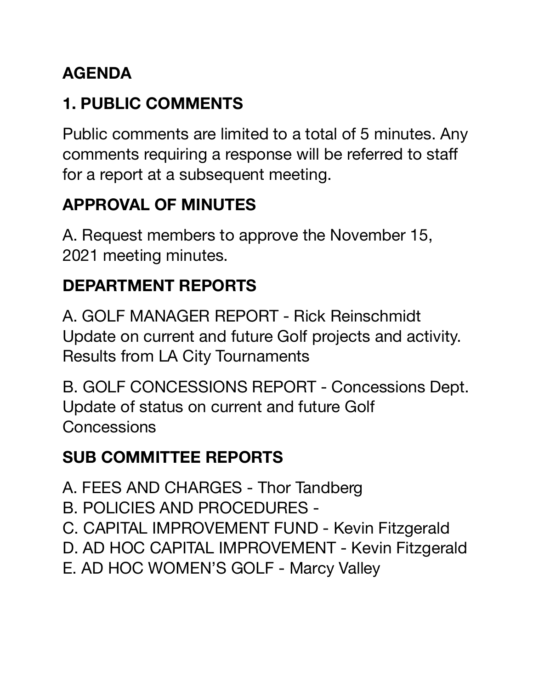# **AGENDA**

# **1. PUBLIC COMMENTS**

Public comments are limited to a total of 5 minutes. Any comments requiring a response will be referred to staff for a report at a subsequent meeting.

### **APPROVAL OF MINUTES**

A. Request members to approve the November 15, 2021 meeting minutes.

# **DEPARTMENT REPORTS**

A. GOLF MANAGER REPORT - Rick Reinschmidt Update on current and future Golf projects and activity. Results from LA City Tournaments

B. GOLF CONCESSIONS REPORT - Concessions Dept. Update of status on current and future Golf **Concessions** 

#### **SUB COMMITTEE REPORTS**

- A. FEES AND CHARGES Thor Tandberg
- B. POLICIES AND PROCEDURES -
- C. CAPITAL IMPROVEMENT FUND Kevin Fitzgerald
- D. AD HOC CAPITAL IMPROVEMENT Kevin Fitzgerald
- E. AD HOC WOMEN'S GOLF Marcy Valley